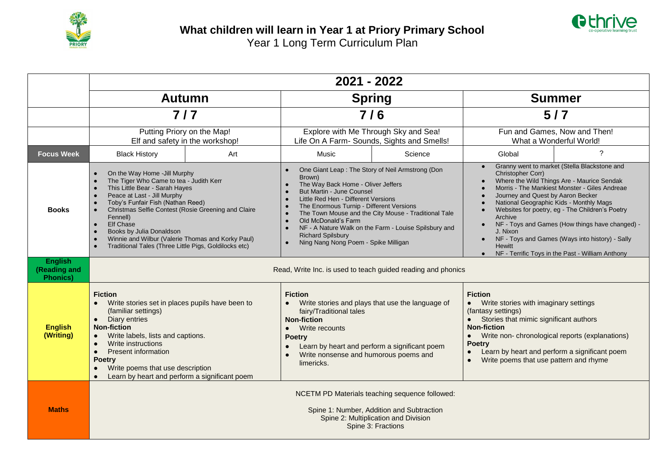



|                                                    | 2021 - 2022                                                                                                                                                                                                                                                                                                                                                                                                                                            |     |                                                                                                                                                                                                                                                                                                                                                                                                                              |         |                                                                                                                                                                                                                                                                                                                                                                                                                                                                                                                                                                                     |                |  |  |  |
|----------------------------------------------------|--------------------------------------------------------------------------------------------------------------------------------------------------------------------------------------------------------------------------------------------------------------------------------------------------------------------------------------------------------------------------------------------------------------------------------------------------------|-----|------------------------------------------------------------------------------------------------------------------------------------------------------------------------------------------------------------------------------------------------------------------------------------------------------------------------------------------------------------------------------------------------------------------------------|---------|-------------------------------------------------------------------------------------------------------------------------------------------------------------------------------------------------------------------------------------------------------------------------------------------------------------------------------------------------------------------------------------------------------------------------------------------------------------------------------------------------------------------------------------------------------------------------------------|----------------|--|--|--|
|                                                    | <b>Autumn</b>                                                                                                                                                                                                                                                                                                                                                                                                                                          |     | <b>Spring</b>                                                                                                                                                                                                                                                                                                                                                                                                                |         | <b>Summer</b>                                                                                                                                                                                                                                                                                                                                                                                                                                                                                                                                                                       |                |  |  |  |
|                                                    | $7/7$                                                                                                                                                                                                                                                                                                                                                                                                                                                  |     | 7/6                                                                                                                                                                                                                                                                                                                                                                                                                          |         | 5/7                                                                                                                                                                                                                                                                                                                                                                                                                                                                                                                                                                                 |                |  |  |  |
|                                                    | Putting Priory on the Map!<br>Elf and safety in the workshop!                                                                                                                                                                                                                                                                                                                                                                                          |     | Explore with Me Through Sky and Sea!<br>Life On A Farm- Sounds, Sights and Smells!                                                                                                                                                                                                                                                                                                                                           |         | Fun and Games, Now and Then!<br>What a Wonderful World!                                                                                                                                                                                                                                                                                                                                                                                                                                                                                                                             |                |  |  |  |
| <b>Focus Week</b>                                  | <b>Black History</b>                                                                                                                                                                                                                                                                                                                                                                                                                                   | Art | Music                                                                                                                                                                                                                                                                                                                                                                                                                        | Science | Global                                                                                                                                                                                                                                                                                                                                                                                                                                                                                                                                                                              | $\overline{?}$ |  |  |  |
| <b>Books</b>                                       | On the Way Home - Jill Murphy<br>$\bullet$<br>The Tiger Who Came to tea - Judith Kerr<br>This Little Bear - Sarah Hayes<br>Peace at Last - Jill Murphy<br>$\bullet$<br>Toby's Funfair Fish (Nathan Reed)<br>Christmas Selfie Contest (Rosie Greening and Claire<br>Fennell)<br><b>Elf Chase</b><br>$\bullet$<br>Books by Julia Donaldson<br>Winnie and Wilbur (Valerie Thomas and Korky Paul)<br>Traditional Tales (Three Little Pigs, Goldilocks etc) |     | One Giant Leap: The Story of Neil Armstrong (Don<br>Brown)<br>The Way Back Home - Oliver Jeffers<br>But Martin - June Counsel<br>Little Red Hen - Different Versions<br>The Enormous Turnip - Different Versions<br>The Town Mouse and the City Mouse - Traditional Tale<br>Old McDonald's Farm<br>NF - A Nature Walk on the Farm - Louise Spilsbury and<br><b>Richard Spilsbury</b><br>Ning Nang Nong Poem - Spike Milligan |         | Granny went to market (Stella Blackstone and<br>$\bullet$<br>Christopher Corr)<br>Where the Wild Things Are - Maurice Sendak<br>$\bullet$<br>Morris - The Mankiest Monster - Giles Andreae<br>$\bullet$<br>Journey and Quest by Aaron Becker<br>$\bullet$<br>National Geographic Kids - Monthly Mags<br>Websites for poetry, eg - The Children's Poetry<br>Archive<br>NF - Toys and Games (How things have changed) -<br>$\bullet$<br>J. Nixon<br>NF - Toys and Games (Ways into history) - Sally<br><b>Hewitt</b><br>NF - Terrific Toys in the Past - William Anthony<br>$\bullet$ |                |  |  |  |
| <b>English</b><br>(Reading and<br><b>Phonics</b> ) | Read, Write Inc. is used to teach guided reading and phonics                                                                                                                                                                                                                                                                                                                                                                                           |     |                                                                                                                                                                                                                                                                                                                                                                                                                              |         |                                                                                                                                                                                                                                                                                                                                                                                                                                                                                                                                                                                     |                |  |  |  |
| <b>English</b><br>(Writing)                        | <b>Fiction</b><br>Write stories set in places pupils have been to<br>(familiar settings)<br>Diary entries<br>$\bullet$<br><b>Non-fiction</b><br>Write labels, lists and captions.<br>$\bullet$<br>Write instructions<br>$\bullet$<br><b>Present information</b><br>$\bullet$<br><b>Poetry</b><br>Write poems that use description<br>Learn by heart and perform a significant poem                                                                     |     | <b>Fiction</b><br>Write stories and plays that use the language of<br>fairy/Traditional tales<br><b>Non-fiction</b><br>Write recounts<br><b>Poetry</b><br>Learn by heart and perform a significant poem<br>Write nonsense and humorous poems and<br>limericks.                                                                                                                                                               |         | <b>Fiction</b><br>Write stories with imaginary settings<br>(fantasy settings)<br>Stories that mimic significant authors<br><b>Non-fiction</b><br>Write non-chronological reports (explanations)<br><b>Poetry</b><br>Learn by heart and perform a significant poem<br>Write poems that use pattern and rhyme                                                                                                                                                                                                                                                                         |                |  |  |  |
| <b>Maths</b>                                       | NCETM PD Materials teaching sequence followed:<br>Spine 1: Number, Addition and Subtraction<br>Spine 2: Multiplication and Division<br>Spine 3: Fractions                                                                                                                                                                                                                                                                                              |     |                                                                                                                                                                                                                                                                                                                                                                                                                              |         |                                                                                                                                                                                                                                                                                                                                                                                                                                                                                                                                                                                     |                |  |  |  |